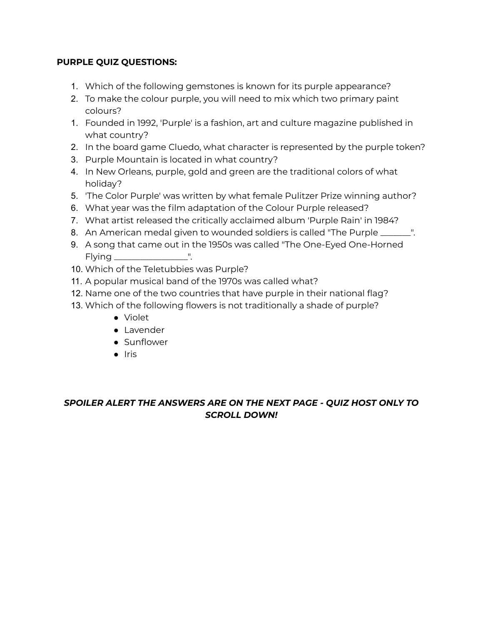## **PURPLE QUIZ QUESTIONS:**

- 1. Which of the following gemstones is known for its purple appearance?
- 2. To make the colour purple, you will need to mix which two primary paint colours?
- 1. Founded in 1992, 'Purple' is a fashion, art and culture magazine published in what country?
- 2. In the board game Cluedo, what character is represented by the purple token?
- 3. Purple Mountain is located in what country?
- 4. In New Orleans, purple, gold and green are the traditional colors of what holiday?
- 5. 'The Color Purple' was written by what female Pulitzer Prize winning author?
- 6. What year was the film adaptation of the Colour Purple released?
- 7. What artist released the critically acclaimed album 'Purple Rain' in 1984?
- 8. An American medal given to wounded soldiers is called "The Purple \_\_\_\_\_\_\_".
- 9. A song that came out in the 1950s was called "The One-Eyed One-Horned Flying \_\_\_\_\_\_\_\_\_\_\_\_\_\_\_\_\_".
- 10. Which of the Teletubbies was Purple?
- 11. A popular musical band of the 1970s was called what?
- 12. Name one of the two countries that have purple in their national flag?
- 13. Which of the following flowers is not traditionally a shade of purple?
	- Violet
	- Lavender
	- Sunflower
	- Iris

## *SPOILER ALERT THE ANSWERS ARE ON THE NEXT PAGE - QUIZ HOST ONLY TO SCROLL DOWN!*